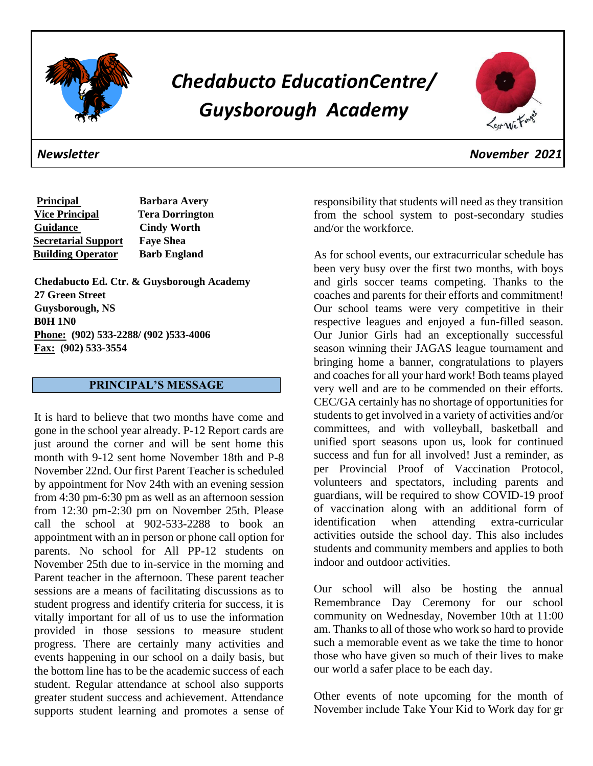

# *Chedabucto EducationCentre/ Guysborough Academy*



**Principal Barbara Avery Vice Principal Tera Dorrington Guidance Cindy Worth Secretarial Support Faye Shea Building Operator Barb England** 

**Chedabucto Ed. Ctr. & Guysborough Academy 27 Green Street Guysborough, NS B0H 1N0 Phone: (902) 533-2288/ (902 )533-4006 Fax: (902) 533-3554** 

# **PRINCIPAL'S MESSAGE**

It is hard to believe that two months have come and gone in the school year already. P-12 Report cards are just around the corner and will be sent home this month with 9-12 sent home November 18th and P-8 November 22nd. Our first Parent Teacher is scheduled by appointment for Nov 24th with an evening session from 4:30 pm-6:30 pm as well as an afternoon session from 12:30 pm-2:30 pm on November 25th. Please call the school at 902-533-2288 to book an appointment with an in person or phone call option for parents. No school for All PP-12 students on November 25th due to in-service in the morning and Parent teacher in the afternoon. These parent teacher sessions are a means of facilitating discussions as to student progress and identify criteria for success, it is vitally important for all of us to use the information provided in those sessions to measure student progress. There are certainly many activities and events happening in our school on a daily basis, but the bottom line has to be the academic success of each student. Regular attendance at school also supports greater student success and achievement. Attendance supports student learning and promotes a sense of responsibility that students will need as they transition from the school system to post-secondary studies and/or the workforce.

As for school events, our extracurricular schedule has been very busy over the first two months, with boys and girls soccer teams competing. Thanks to the coaches and parents for their efforts and commitment! Our school teams were very competitive in their respective leagues and enjoyed a fun-filled season. Our Junior Girls had an exceptionally successful season winning their JAGAS league tournament and bringing home a banner, congratulations to players and coaches for all your hard work! Both teams played very well and are to be commended on their efforts. CEC/GA certainly has no shortage of opportunities for students to get involved in a variety of activities and/or committees, and with volleyball, basketball and unified sport seasons upon us, look for continued success and fun for all involved! Just a reminder, as per Provincial Proof of Vaccination Protocol, volunteers and spectators, including parents and guardians, will be required to show COVID-19 proof of vaccination along with an additional form of identification when attending extra-curricular activities outside the school day. This also includes students and community members and applies to both indoor and outdoor activities.

Our school will also be hosting the annual Remembrance Day Ceremony for our school community on Wednesday, November 10th at 11:00 am. Thanks to all of those who work so hard to provide such a memorable event as we take the time to honor those who have given so much of their lives to make our world a safer place to be each day.

Other events of note upcoming for the month of November include Take Your Kid to Work day for gr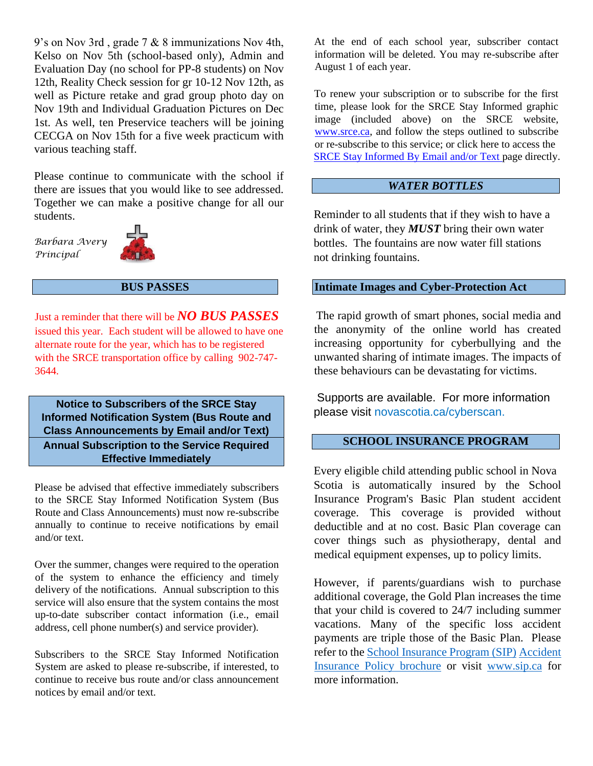9's on Nov 3rd , grade 7 & 8 immunizations Nov 4th, Kelso on Nov 5th (school-based only), Admin and Evaluation Day (no school for PP-8 students) on Nov 12th, Reality Check session for gr 10-12 Nov 12th, as well as Picture retake and grad group photo day on Nov 19th and Individual Graduation Pictures on Dec 1st. As well, ten Preservice teachers will be joining CECGA on Nov 15th for a five week practicum with various teaching staff.

Please continue to communicate with the school if there are issues that you would like to see addressed. Together we can make a positive change for all our students.

*Barbara Avery Principal*



# **BUS PASSES**

Just a reminder that there will be *NO BUS PASSES* issued this year. Each student will be allowed to have one alternate route for the year, which has to be registered with the SRCE transportation office by calling 902-747-3644.

**Notice to Subscribers of the SRCE Stay Informed Notification System (Bus Route and Class Announcements by Email and/or Text) Annual Subscription to the Service Required Effective Immediately**

Please be advised that effective immediately subscribers to the SRCE Stay Informed Notification System (Bus Route and Class Announcements) must now re-subscribe annually to continue to receive notifications by email and/or text.

Over the summer, changes were required to the operation of the system to enhance the efficiency and timely delivery of the notifications. Annual subscription to this service will also ensure that the system contains the most up-to-date subscriber contact information (i.e., email address, cell phone number(s) and service provider).

Subscribers to the SRCE Stay Informed Notification System are asked to please re-subscribe, if interested, to continue to receive bus route and/or class announcement notices by email and/or text.

At the end of each school year, subscriber contact information will be deleted. You may re-subscribe after August 1 of each year.

To renew your subscription or to subscribe for the first time, please look for the SRCE Stay Informed graphic image (included above) on the SRCE website, [www.srce.ca,](http://www.srce.ca/) and follow the steps outlined to subscribe or re-subscribe to this service; or click here to access the [SRCE Stay Informed By Email and/or Text](https://srce.ca/content/stay-informed) [pa](https://srce.ca/content/stay-informed)ge directly.

# *WATER BOTTLES*

Reminder to all students that if they wish to have a drink of water, they *MUST* bring their own water bottles. The fountains are now water fill stations not drinking fountains.

# **Intimate Images and Cyber-Protection Act**

The rapid growth of smart phones, social media and the anonymity of the online world has created increasing opportunity for cyberbullying and the unwanted sharing of intimate images. The impacts of these behaviours can be devastating for victims.

Supports are available. For more information please visit novascotia.ca/cyberscan.

# **SCHOOL INSURANCE PROGRAM**

Every eligible child attending public school in Nova Scotia is automatically insured by the School Insurance Program's Basic Plan student accident coverage. This coverage is provided without deductible and at no cost. Basic Plan coverage can cover things such as physiotherapy, dental and medical equipment expenses, up to policy limits.

However, if parents/guardians wish to purchase additional coverage, the Gold Plan increases the time that your child is covered to 24/7 including summer vacations. Many of the specific loss accident payments are triple those of the Basic Plan. Please refer to the [School Insurance Program \(SIP\)](https://srce.ca/sites/default/files/2020%20SIP%20Accident%20Insurance%20Policy%20BrochureE.pdf) [Accident](https://srce.ca/sites/default/files/2020%20SIP%20Accident%20Insurance%20Policy%20BrochureE.pdf)  [Insurance Policy brochure](https://srce.ca/sites/default/files/2020%20SIP%20Accident%20Insurance%20Policy%20BrochureE.pdf) or visit [www.sip.ca](http://www.sip.ca/) [f](http://www.sip.ca/)or more information.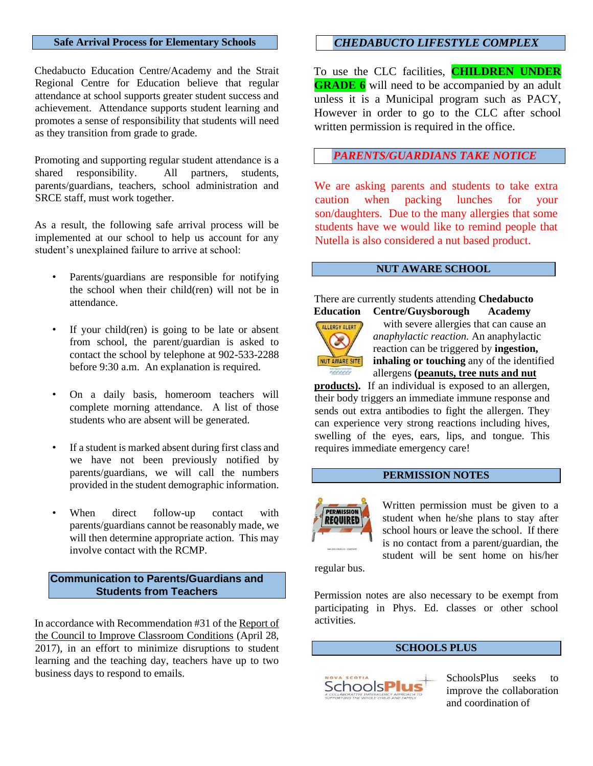#### **Safe Arrival Process for Elementary Schools**

Chedabucto Education Centre/Academy and the Strait Regional Centre for Education believe that regular attendance at school supports greater student success and achievement. Attendance supports student learning and promotes a sense of responsibility that students will need as they transition from grade to grade.

Promoting and supporting regular student attendance is a shared responsibility. All partners, students, parents/guardians, teachers, school administration and SRCE staff, must work together.

As a result, the following safe arrival process will be implemented at our school to help us account for any student's unexplained failure to arrive at school:

- Parents/guardians are responsible for notifying the school when their child(ren) will not be in attendance.
- If your child(ren) is going to be late or absent from school, the parent/guardian is asked to contact the school by telephone at 902-533-2288 before 9:30 a.m. An explanation is required.
- On a daily basis, homeroom teachers will complete morning attendance. A list of those students who are absent will be generated.
- If a student is marked absent during first class and we have not been previously notified by parents/guardians, we will call the numbers provided in the student demographic information.
- When direct follow-up contact with parents/guardians cannot be reasonably made, we will then determine appropriate action. This may involve contact with the RCMP.

**Communication to Parents/Guardians and Students from Teachers**

In accordance with Recommendation #31 of the Report of the Council to Improve Classroom Conditions (April 28, 2017), in an effort to minimize disruptions to student learning and the teaching day, teachers have up to two business days to respond to emails.

## *CHEDABUCTO LIFESTYLE COMPLEX*

To use the CLC facilities, **CHILDREN UNDER GRADE 6** will need to be accompanied by an adult unless it is a Municipal program such as PACY, However in order to go to the CLC after school written permission is required in the office.

## *PARENTS/GUARDIANS TAKE NOTICE*

We are asking parents and students to take extra caution when packing lunches for your son/daughters. Due to the many allergies that some students have we would like to remind people that Nutella is also considered a nut based product.

### **NUT AWARE SCHOOL**

There are currently students attending **Chedabucto Education Centre/Guysborough Academy**



with severe allergies that can cause an *anaphylactic reaction.* An anaphylactic reaction can be triggered by **ingestion, inhaling or touching** any of the identified allergens **(peanuts, tree nuts and nut**

**products).** If an individual is exposed to an allergen, their body triggers an immediate immune response and sends out extra antibodies to fight the allergen. They can experience very strong reactions including hives, swelling of the eyes, ears, lips, and tongue. This requires immediate emergency care!

#### **PERMISSION NOTES**



Written permission must be given to a student when he/she plans to stay after school hours or leave the school. If there is no contact from a parent/guardian, the student will be sent home on his/her

regular bus.

Permission notes are also necessary to be exempt from participating in Phys. Ed. classes or other school activities.

#### **SCHOOLS PLUS**



SchoolsPlus seeks to improve the collaboration and coordination of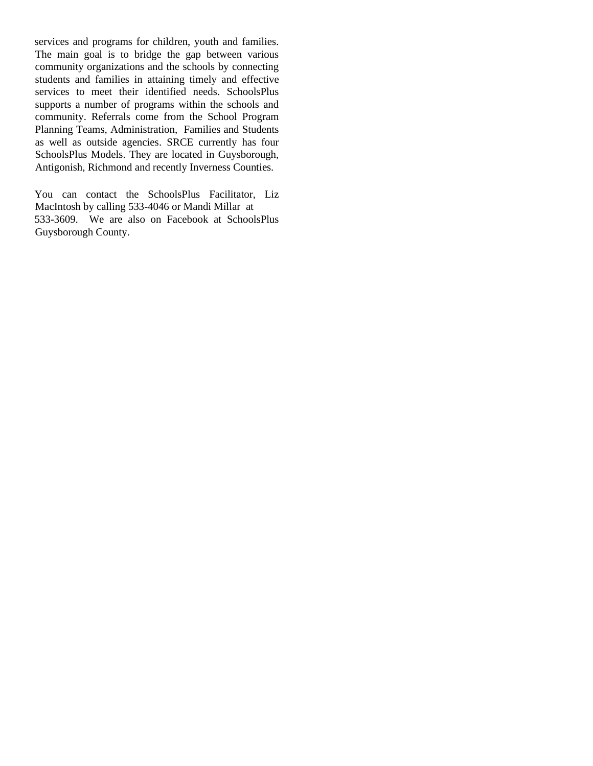services and programs for children, youth and families. The main goal is to bridge the gap between various community organizations and the schools by connecting students and families in attaining timely and effective services to meet their identified needs. SchoolsPlus supports a number of programs within the schools and community. Referrals come from the School Program Planning Teams, Administration, Families and Students as well as outside agencies. SRCE currently has four SchoolsPlus Models. They are located in Guysborough, Antigonish, Richmond and recently Inverness Counties.

You can contact the SchoolsPlus Facilitator, Liz MacIntosh by calling 533-4046 or Mandi Millar at 533-3609. We are also on Facebook at SchoolsPlus Guysborough County.